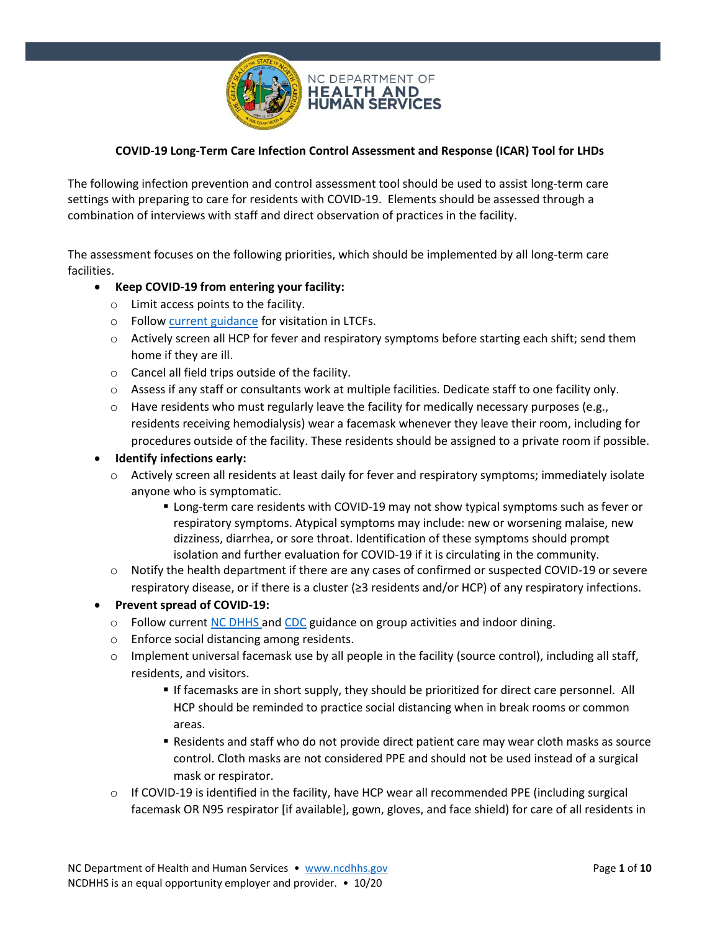

## **COVID-19 Long-Term Care Infection Control Assessment and Response (ICAR) Tool for LHDs**

The following infection prevention and control assessment tool should be used to assist long-term care settings with preparing to care for residents with COVID-19. Elements should be assessed through a combination of interviews with staff and direct observation of practices in the facility.

The assessment focuses on the following priorities, which should be implemented by all long-term care facilities.

#### • **Keep COVID-19 from entering your facility:**

- o Limit access points to the facility.
- o Follo[w current guidance](https://covid19.ncdhhs.gov/guidance#long-term-care-facilities) for visitation in LTCFs.
- $\circ$  Actively screen all HCP for fever and respiratory symptoms before starting each shift; send them home if they are ill.
- o Cancel all field trips outside of the facility.
- o Assess if any staff or consultants work at multiple facilities. Dedicate staff to one facility only.
- $\circ$  Have residents who must regularly leave the facility for medically necessary purposes (e.g., residents receiving hemodialysis) wear a facemask whenever they leave their room, including for procedures outside of the facility. These residents should be assigned to a private room if possible.

#### • **Identify infections early:**

- $\circ$  Actively screen all residents at least daily for fever and respiratory symptoms; immediately isolate anyone who is symptomatic.
	- **EX Long-term care residents with COVID-19 may not show typical symptoms such as fever or** respiratory symptoms. Atypical symptoms may include: new or worsening malaise, new dizziness, diarrhea, or sore throat. Identification of these symptoms should prompt isolation and further evaluation for COVID-19 if it is circulating in the community.
- $\circ$  Notify the health department if there are any cases of confirmed or suspected COVID-19 or severe respiratory disease, or if there is a cluster (≥3 residents and/or HCP) of any respiratory infections.
- **Prevent spread of COVID-19:**
	- $\circ$  Follow current [NC DHHS](https://covid19.ncdhhs.gov/guidance#long-term-care-facilities) and [CDC](https://www.cdc.gov/coronavirus/2019-ncov/hcp/long-term-care.html) guidance on group activities and indoor dining.
	- o Enforce social distancing among residents.
	- o Implement universal facemask use by all people in the facility (source control), including all staff, residents, and visitors.
		- **If facemasks are in short supply, they should be prioritized for direct care personnel. All** HCP should be reminded to practice social distancing when in break rooms or common areas.
		- Residents and staff who do not provide direct patient care may wear cloth masks as source control. Cloth masks are not considered PPE and should not be used instead of a surgical mask or respirator.
	- $\circ$  If COVID-19 is identified in the facility, have HCP wear all recommended PPE (including surgical facemask OR N95 respirator [if available], gown, gloves, and face shield) for care of all residents in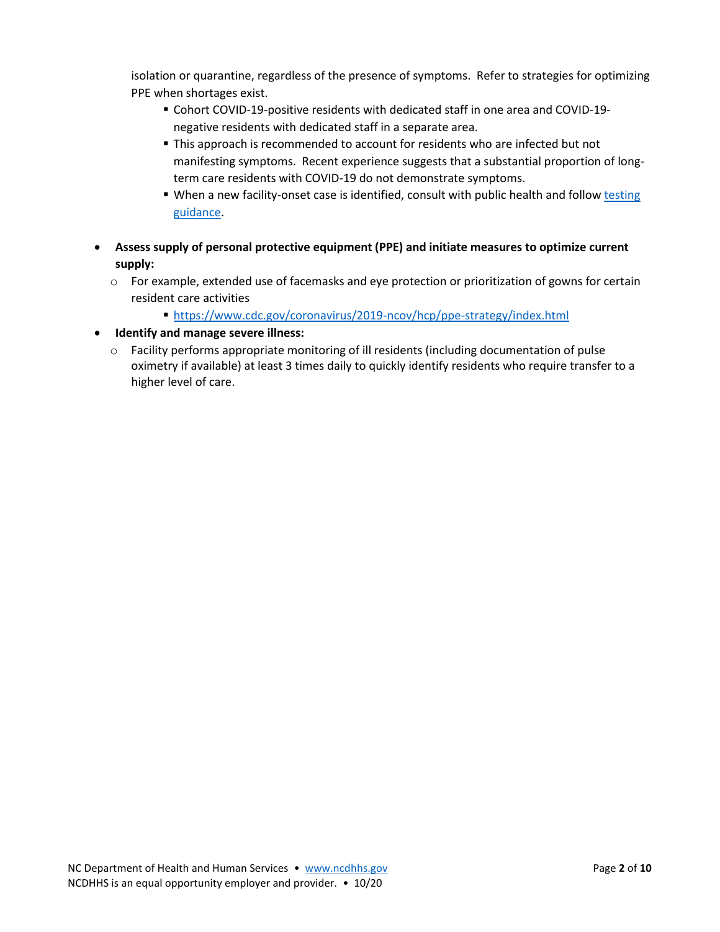isolation or quarantine, regardless of the presence of symptoms. Refer to strategies for optimizing PPE when shortages exist.

- Cohort COVID-19-positive residents with dedicated staff in one area and COVID-19 negative residents with dedicated staff in a separate area.
- **.** This approach is recommended to account for residents who are infected but not manifesting symptoms. Recent experience suggests that a substantial proportion of longterm care residents with COVID-19 do not demonstrate symptoms.
- When a new facility-onset case is identified, consult with public health and follow testing [guidance.](https://www.cdc.gov/coronavirus/2019-ncov/hcp/nursing-homes-testing.html)
- **Assess supply of personal protective equipment (PPE) and initiate measures to optimize current supply:**
	- o For example, extended use of facemasks and eye protection or prioritization of gowns for certain resident care activities
		- <https://www.cdc.gov/coronavirus/2019-ncov/hcp/ppe-strategy/index.html>
- **Identify and manage severe illness:**
	- $\circ$  Facility performs appropriate monitoring of ill residents (including documentation of pulse oximetry if available) at least 3 times daily to quickly identify residents who require transfer to a higher level of care.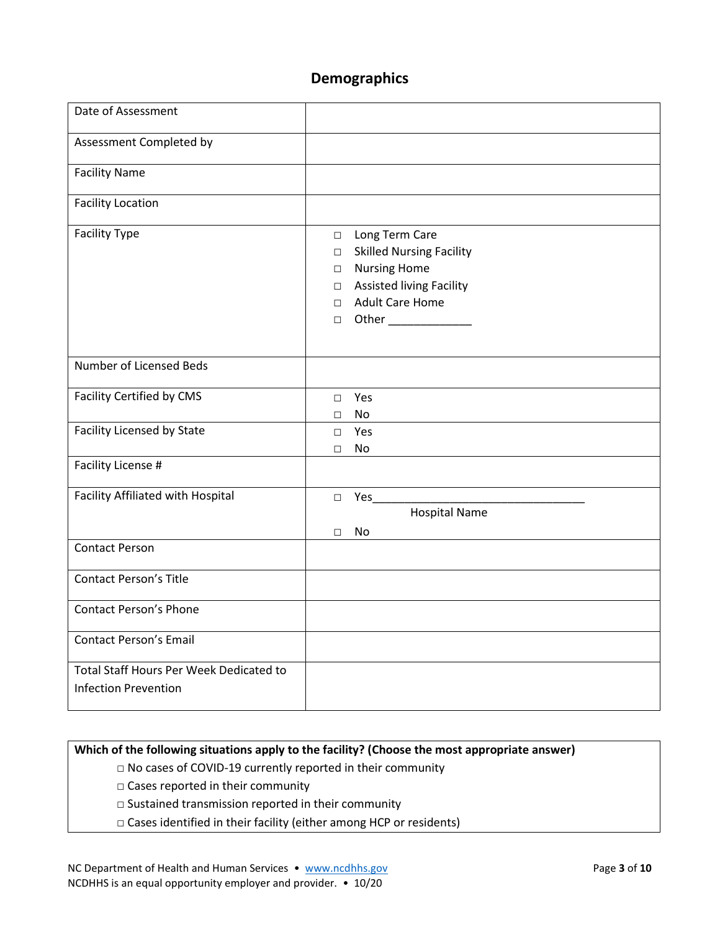# **Demographics**

| Date of Assessment                                                     |                                                                                                                                                                                                                           |
|------------------------------------------------------------------------|---------------------------------------------------------------------------------------------------------------------------------------------------------------------------------------------------------------------------|
| Assessment Completed by                                                |                                                                                                                                                                                                                           |
| <b>Facility Name</b>                                                   |                                                                                                                                                                                                                           |
| <b>Facility Location</b>                                               |                                                                                                                                                                                                                           |
| <b>Facility Type</b>                                                   | Long Term Care<br>$\Box$<br><b>Skilled Nursing Facility</b><br>$\Box$<br><b>Nursing Home</b><br>$\Box$<br><b>Assisted living Facility</b><br>$\Box$<br><b>Adult Care Home</b><br>$\Box$<br>Other ______________<br>$\Box$ |
| Number of Licensed Beds                                                |                                                                                                                                                                                                                           |
| Facility Certified by CMS                                              | Yes<br>$\Box$<br>No<br>$\Box$                                                                                                                                                                                             |
| Facility Licensed by State                                             | Yes<br>$\Box$<br>No<br>$\Box$                                                                                                                                                                                             |
| Facility License #                                                     |                                                                                                                                                                                                                           |
| Facility Affiliated with Hospital                                      | $\Box$ Yes<br><b>Hospital Name</b><br>No<br>$\Box$                                                                                                                                                                        |
| <b>Contact Person</b>                                                  |                                                                                                                                                                                                                           |
| <b>Contact Person's Title</b>                                          |                                                                                                                                                                                                                           |
| <b>Contact Person's Phone</b>                                          |                                                                                                                                                                                                                           |
| <b>Contact Person's Email</b>                                          |                                                                                                                                                                                                                           |
| Total Staff Hours Per Week Dedicated to<br><b>Infection Prevention</b> |                                                                                                                                                                                                                           |

### **Which of the following situations apply to the facility? (Choose the most appropriate answer)**

- □ No cases of COVID-19 currently reported in their community
- □ Cases reported in their community
- □ Sustained transmission reported in their community
- □ Cases identified in their facility (either among HCP or residents)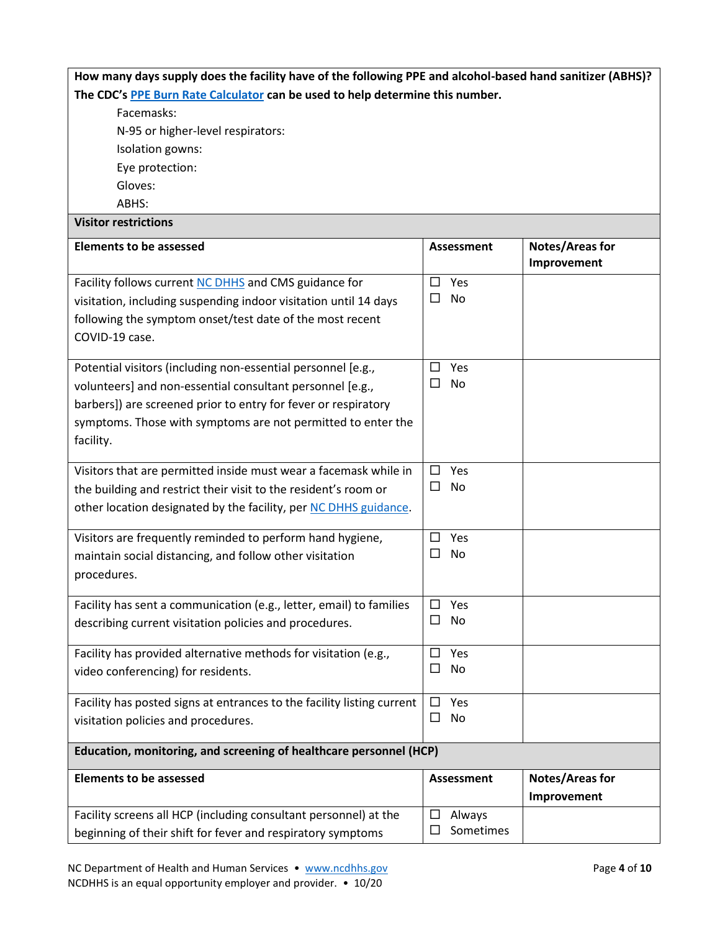| How many days supply does the facility have of the following PPE and alcohol-based hand sanitizer (ABHS)? |                               |                        |
|-----------------------------------------------------------------------------------------------------------|-------------------------------|------------------------|
| The CDC's PPE Burn Rate Calculator can be used to help determine this number.                             |                               |                        |
| Facemasks:                                                                                                |                               |                        |
| N-95 or higher-level respirators:                                                                         |                               |                        |
| Isolation gowns:                                                                                          |                               |                        |
| Eye protection:                                                                                           |                               |                        |
| Gloves:                                                                                                   |                               |                        |
| ABHS:                                                                                                     |                               |                        |
| <b>Visitor restrictions</b>                                                                               |                               |                        |
| <b>Elements to be assessed</b>                                                                            | <b>Assessment</b>             | Notes/Areas for        |
|                                                                                                           |                               | Improvement            |
| Facility follows current NC DHHS and CMS guidance for                                                     | $\square$ Yes                 |                        |
| visitation, including suspending indoor visitation until 14 days                                          | $\Box$<br>No                  |                        |
| following the symptom onset/test date of the most recent                                                  |                               |                        |
| COVID-19 case.                                                                                            |                               |                        |
|                                                                                                           |                               |                        |
| Potential visitors (including non-essential personnel [e.g.,                                              | Yes<br>$\Box$                 |                        |
| volunteers] and non-essential consultant personnel [e.g.,                                                 | $\Box$<br>No                  |                        |
| barbers]) are screened prior to entry for fever or respiratory                                            |                               |                        |
| symptoms. Those with symptoms are not permitted to enter the                                              |                               |                        |
| facility.                                                                                                 |                               |                        |
| Visitors that are permitted inside must wear a facemask while in                                          | Yes<br>$\Box$                 |                        |
| the building and restrict their visit to the resident's room or                                           | $\Box$<br>No                  |                        |
|                                                                                                           |                               |                        |
| other location designated by the facility, per NC DHHS guidance.                                          |                               |                        |
| Visitors are frequently reminded to perform hand hygiene,                                                 | $\Box$<br>Yes                 |                        |
| maintain social distancing, and follow other visitation                                                   | $\Box$<br>No                  |                        |
| procedures.                                                                                               |                               |                        |
|                                                                                                           |                               |                        |
| Facility has sent a communication (e.g., letter, email) to families                                       | Yes<br>$\Box$<br>$\Box$<br>No |                        |
| describing current visitation policies and procedures.                                                    |                               |                        |
| Facility has provided alternative methods for visitation (e.g.,                                           | □<br>Yes                      |                        |
| video conferencing) for residents.                                                                        | □<br>No                       |                        |
|                                                                                                           |                               |                        |
| Facility has posted signs at entrances to the facility listing current                                    | Yes<br>□                      |                        |
| visitation policies and procedures.                                                                       | □<br>No                       |                        |
| Education, monitoring, and screening of healthcare personnel (HCP)                                        |                               |                        |
| <b>Elements to be assessed</b>                                                                            | <b>Assessment</b>             | <b>Notes/Areas for</b> |
|                                                                                                           |                               | Improvement            |
| Facility screens all HCP (including consultant personnel) at the                                          | $\Box$<br>Always              |                        |
| beginning of their shift for fever and respiratory symptoms                                               | Sometimes<br>$\Box$           |                        |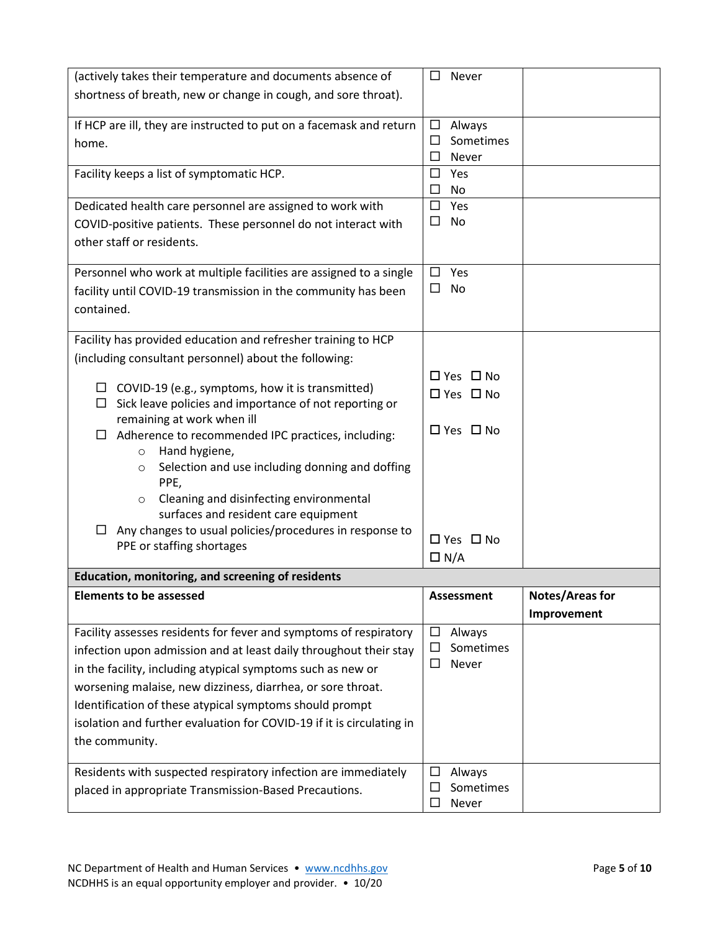| (actively takes their temperature and documents absence of                          | □<br>Never                         |                        |
|-------------------------------------------------------------------------------------|------------------------------------|------------------------|
| shortness of breath, new or change in cough, and sore throat).                      |                                    |                        |
|                                                                                     |                                    |                        |
| If HCP are ill, they are instructed to put on a facemask and return                 | $\Box$<br>Always                   |                        |
| home.                                                                               | Sometimes<br>□<br>Never<br>□       |                        |
| Facility keeps a list of symptomatic HCP.                                           | $\Box$<br>Yes                      |                        |
|                                                                                     | $\Box$<br>No                       |                        |
| Dedicated health care personnel are assigned to work with                           | Yes<br>□                           |                        |
| COVID-positive patients. These personnel do not interact with                       | $\Box$<br>No                       |                        |
| other staff or residents.                                                           |                                    |                        |
|                                                                                     |                                    |                        |
| Personnel who work at multiple facilities are assigned to a single                  | Yes<br>$\Box$                      |                        |
| facility until COVID-19 transmission in the community has been                      | $\Box$<br>No                       |                        |
| contained.                                                                          |                                    |                        |
| Facility has provided education and refresher training to HCP                       |                                    |                        |
| (including consultant personnel) about the following:                               |                                    |                        |
|                                                                                     | $\Box$ Yes $\Box$ No               |                        |
| $\Box$ COVID-19 (e.g., symptoms, how it is transmitted)                             | □ Yes □ No                         |                        |
| $\Box$ Sick leave policies and importance of not reporting or                       |                                    |                        |
| remaining at work when ill                                                          | □ Yes □ No                         |                        |
| Adherence to recommended IPC practices, including:<br>□                             |                                    |                        |
| Hand hygiene,<br>$\circ$<br>Selection and use including donning and doffing         |                                    |                        |
| $\circ$<br>PPE,                                                                     |                                    |                        |
| Cleaning and disinfecting environmental<br>$\circ$                                  |                                    |                        |
| surfaces and resident care equipment                                                |                                    |                        |
| Any changes to usual policies/procedures in response to                             | □ Yes □ No                         |                        |
| PPE or staffing shortages                                                           |                                    |                        |
|                                                                                     | $\Box N/A$                         |                        |
| Education, monitoring, and screening of residents<br><b>Elements to be assessed</b> | <b>Assessment</b>                  |                        |
|                                                                                     |                                    | <b>Notes/Areas for</b> |
|                                                                                     |                                    | Improvement            |
| Facility assesses residents for fever and symptoms of respiratory                   | Always<br>$\Box$<br>□<br>Sometimes |                        |
| infection upon admission and at least daily throughout their stay                   | Never<br>□                         |                        |
| in the facility, including atypical symptoms such as new or                         |                                    |                        |
| worsening malaise, new dizziness, diarrhea, or sore throat.                         |                                    |                        |
| Identification of these atypical symptoms should prompt                             |                                    |                        |
| isolation and further evaluation for COVID-19 if it is circulating in               |                                    |                        |
| the community.                                                                      |                                    |                        |
| Residents with suspected respiratory infection are immediately                      | □<br>Always                        |                        |
| placed in appropriate Transmission-Based Precautions.                               | Sometimes<br>$\Box$                |                        |
|                                                                                     | $\Box$<br>Never                    |                        |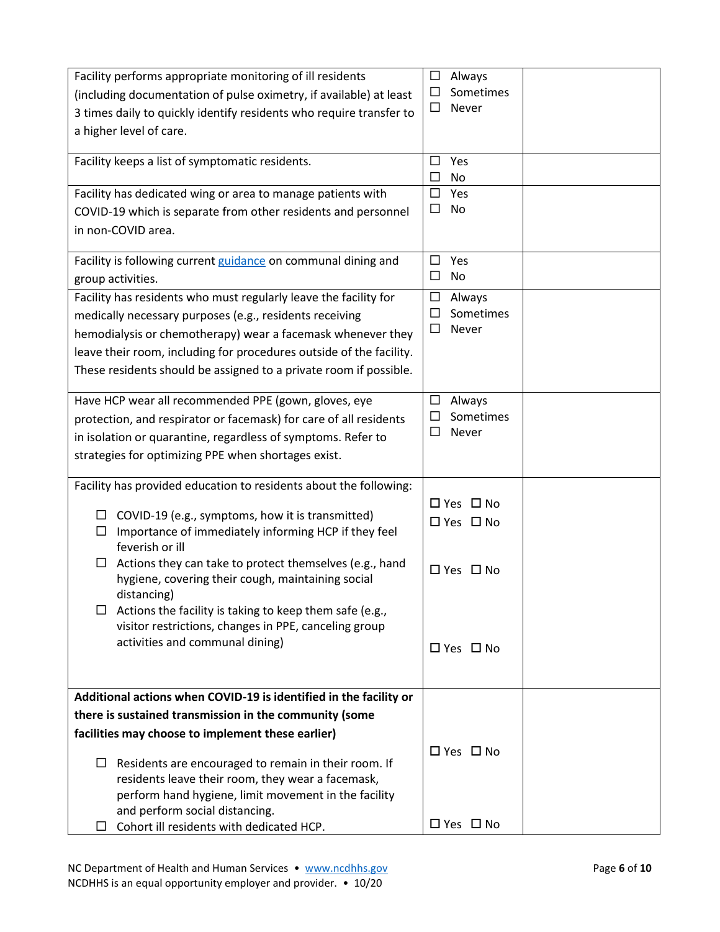| Facility performs appropriate monitoring of ill residents                                                      | $\Box$<br>Always              |
|----------------------------------------------------------------------------------------------------------------|-------------------------------|
| (including documentation of pulse oximetry, if available) at least                                             | Sometimes<br>□                |
| 3 times daily to quickly identify residents who require transfer to                                            | $\Box$<br>Never               |
| a higher level of care.                                                                                        |                               |
|                                                                                                                |                               |
| Facility keeps a list of symptomatic residents.                                                                | Yes<br>$\Box$                 |
|                                                                                                                | $\Box$<br>No                  |
| Facility has dedicated wing or area to manage patients with                                                    | Yes<br>$\Box$<br>$\Box$<br>No |
| COVID-19 which is separate from other residents and personnel                                                  |                               |
| in non-COVID area.                                                                                             |                               |
| Facility is following current guidance on communal dining and                                                  | $\Box$<br>Yes                 |
| group activities.                                                                                              | $\Box$<br>No                  |
| Facility has residents who must regularly leave the facility for                                               | $\Box$<br>Always              |
| medically necessary purposes (e.g., residents receiving                                                        | Sometimes<br>□                |
| hemodialysis or chemotherapy) wear a facemask whenever they                                                    | □<br>Never                    |
| leave their room, including for procedures outside of the facility.                                            |                               |
| These residents should be assigned to a private room if possible.                                              |                               |
|                                                                                                                |                               |
| Have HCP wear all recommended PPE (gown, gloves, eye                                                           | $\Box$<br>Always              |
| protection, and respirator or facemask) for care of all residents                                              | Sometimes<br>□                |
| in isolation or quarantine, regardless of symptoms. Refer to                                                   | $\Box$<br>Never               |
| strategies for optimizing PPE when shortages exist.                                                            |                               |
| Facility has provided education to residents about the following:                                              |                               |
|                                                                                                                | □ Yes □ No                    |
| COVID-19 (e.g., symptoms, how it is transmitted)<br>□                                                          | $\Box$ Yes $\Box$ No          |
| Importance of immediately informing HCP if they feel<br>□                                                      |                               |
| feverish or ill                                                                                                |                               |
| Actions they can take to protect themselves (e.g., hand<br>□                                                   | $\Box$ Yes $\Box$ No          |
| hygiene, covering their cough, maintaining social<br>distancing)                                               |                               |
| Actions the facility is taking to keep them safe (e.g.,<br>ப                                                   |                               |
| visitor restrictions, changes in PPE, canceling group                                                          |                               |
| activities and communal dining)                                                                                | $\Box$ Yes $\Box$ No          |
|                                                                                                                |                               |
|                                                                                                                |                               |
| Additional actions when COVID-19 is identified in the facility or                                              |                               |
| there is sustained transmission in the community (some                                                         |                               |
| facilities may choose to implement these earlier)                                                              |                               |
|                                                                                                                | □ Yes □ No                    |
| Residents are encouraged to remain in their room. If<br>ப<br>residents leave their room, they wear a facemask, |                               |
| perform hand hygiene, limit movement in the facility                                                           |                               |
| and perform social distancing.                                                                                 |                               |
| Cohort ill residents with dedicated HCP.<br>ப                                                                  | $\Box$ Yes $\Box$ No          |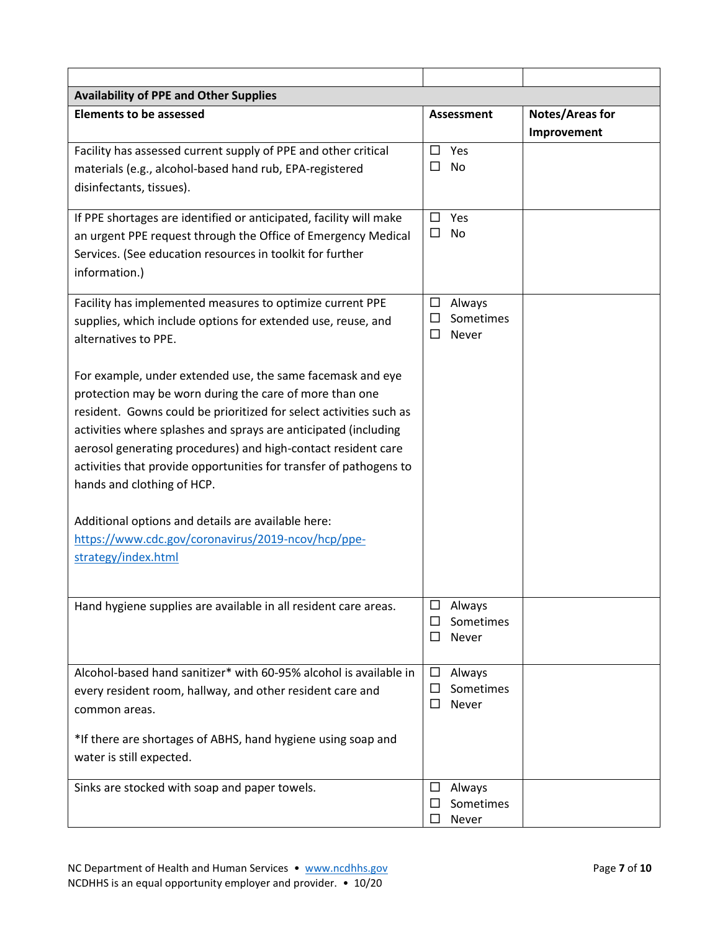| <b>Availability of PPE and Other Supplies</b>                                                                                                                                                                                                                                                                                                                                                                                       |                                                         |                                       |
|-------------------------------------------------------------------------------------------------------------------------------------------------------------------------------------------------------------------------------------------------------------------------------------------------------------------------------------------------------------------------------------------------------------------------------------|---------------------------------------------------------|---------------------------------------|
| <b>Elements to be assessed</b>                                                                                                                                                                                                                                                                                                                                                                                                      | Assessment                                              | <b>Notes/Areas for</b><br>Improvement |
| Facility has assessed current supply of PPE and other critical<br>materials (e.g., alcohol-based hand rub, EPA-registered<br>disinfectants, tissues).                                                                                                                                                                                                                                                                               | Yes<br>$\Box$<br>□<br><b>No</b>                         |                                       |
| If PPE shortages are identified or anticipated, facility will make<br>an urgent PPE request through the Office of Emergency Medical<br>Services. (See education resources in toolkit for further<br>information.)                                                                                                                                                                                                                   | $\Box$<br>Yes<br>$\Box$<br>No                           |                                       |
| Facility has implemented measures to optimize current PPE<br>supplies, which include options for extended use, reuse, and<br>alternatives to PPE.                                                                                                                                                                                                                                                                                   | □<br>Always<br>Sometimes<br>ΙI<br>Never<br>$\Box$       |                                       |
| For example, under extended use, the same facemask and eye<br>protection may be worn during the care of more than one<br>resident. Gowns could be prioritized for select activities such as<br>activities where splashes and sprays are anticipated (including<br>aerosol generating procedures) and high-contact resident care<br>activities that provide opportunities for transfer of pathogens to<br>hands and clothing of HCP. |                                                         |                                       |
| Additional options and details are available here:<br>https://www.cdc.gov/coronavirus/2019-ncov/hcp/ppe-<br>strategy/index.html                                                                                                                                                                                                                                                                                                     |                                                         |                                       |
| Hand hygiene supplies are available in all resident care areas.                                                                                                                                                                                                                                                                                                                                                                     | Always<br>□<br>Sometimes<br>□<br>$\Box$<br><b>Never</b> |                                       |
| Alcohol-based hand sanitizer* with 60-95% alcohol is available in<br>every resident room, hallway, and other resident care and<br>common areas.<br>*If there are shortages of ABHS, hand hygiene using soap and<br>water is still expected.                                                                                                                                                                                         | $\Box$<br>Always<br>Sometimes<br>□<br>$\Box$<br>Never   |                                       |
| Sinks are stocked with soap and paper towels.                                                                                                                                                                                                                                                                                                                                                                                       | Always<br>□<br>Sometimes<br>$\Box$<br>□<br>Never        |                                       |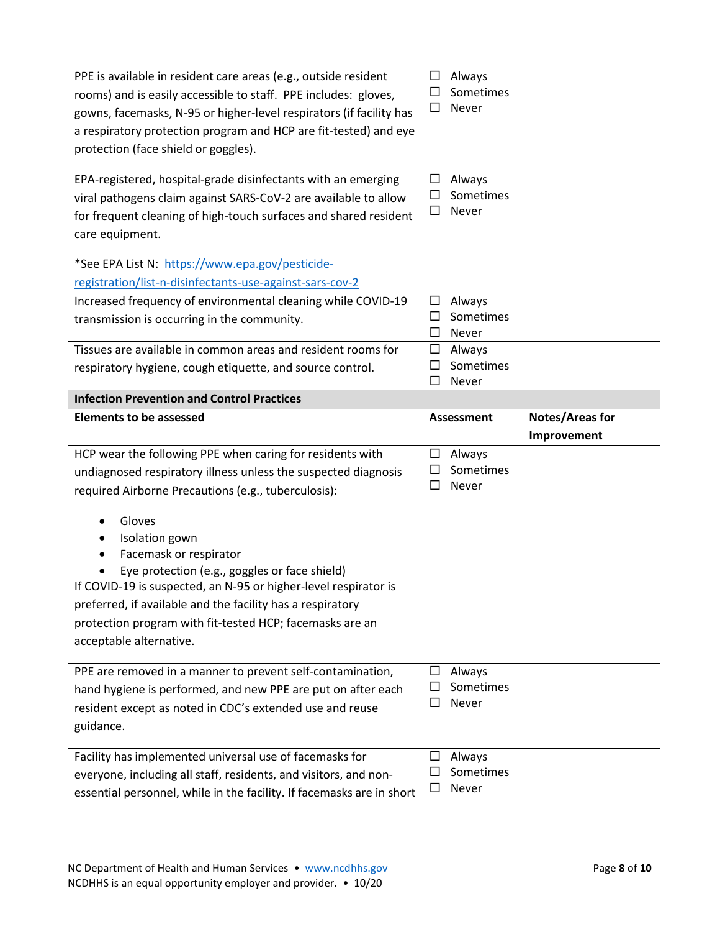| PPE is available in resident care areas (e.g., outside resident<br>rooms) and is easily accessible to staff. PPE includes: gloves,<br>gowns, facemasks, N-95 or higher-level respirators (if facility has<br>a respiratory protection program and HCP are fit-tested) and eye<br>protection (face shield or goggles).                                                                                                                                                                                             | Always<br>□<br>$\Box$<br>Sometimes<br>Never<br>□           |                        |
|-------------------------------------------------------------------------------------------------------------------------------------------------------------------------------------------------------------------------------------------------------------------------------------------------------------------------------------------------------------------------------------------------------------------------------------------------------------------------------------------------------------------|------------------------------------------------------------|------------------------|
| EPA-registered, hospital-grade disinfectants with an emerging<br>viral pathogens claim against SARS-CoV-2 are available to allow<br>for frequent cleaning of high-touch surfaces and shared resident<br>care equipment.<br>*See EPA List N: https://www.epa.gov/pesticide-                                                                                                                                                                                                                                        | □<br>Always<br>Sometimes<br>□<br><b>Never</b><br>□         |                        |
| registration/list-n-disinfectants-use-against-sars-cov-2<br>Increased frequency of environmental cleaning while COVID-19<br>transmission is occurring in the community.                                                                                                                                                                                                                                                                                                                                           | $\Box$<br>Always<br>Sometimes<br>□<br>$\Box$<br>Never      |                        |
| Tissues are available in common areas and resident rooms for<br>respiratory hygiene, cough etiquette, and source control.                                                                                                                                                                                                                                                                                                                                                                                         | Always<br>$\Box$<br>$\Box$<br>Sometimes<br>$\Box$<br>Never |                        |
| <b>Infection Prevention and Control Practices</b>                                                                                                                                                                                                                                                                                                                                                                                                                                                                 |                                                            |                        |
| <b>Elements to be assessed</b>                                                                                                                                                                                                                                                                                                                                                                                                                                                                                    | <b>Assessment</b>                                          | <b>Notes/Areas for</b> |
|                                                                                                                                                                                                                                                                                                                                                                                                                                                                                                                   | Improvement                                                |                        |
| HCP wear the following PPE when caring for residents with<br>undiagnosed respiratory illness unless the suspected diagnosis<br>required Airborne Precautions (e.g., tuberculosis):<br>Gloves<br>Isolation gown<br>Facemask or respirator<br>Eye protection (e.g., goggles or face shield)<br>If COVID-19 is suspected, an N-95 or higher-level respirator is<br>preferred, if available and the facility has a respiratory<br>protection program with fit-tested HCP; facemasks are an<br>acceptable alternative. | □<br>Always<br>Sometimes<br>□<br>$\Box$<br>Never           |                        |
| PPE are removed in a manner to prevent self-contamination,<br>hand hygiene is performed, and new PPE are put on after each<br>resident except as noted in CDC's extended use and reuse<br>guidance.                                                                                                                                                                                                                                                                                                               | □<br>Always<br>Sometimes<br>Ш<br>$\Box$<br>Never           |                        |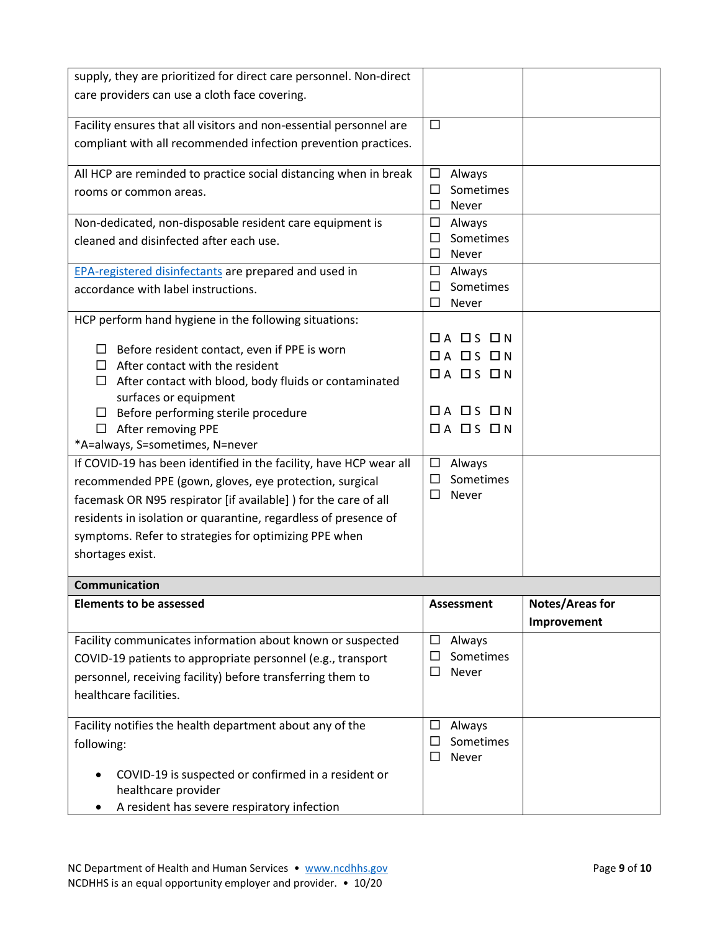| supply, they are prioritized for direct care personnel. Non-direct |                            |                        |
|--------------------------------------------------------------------|----------------------------|------------------------|
| care providers can use a cloth face covering.                      |                            |                        |
|                                                                    |                            |                        |
| Facility ensures that all visitors and non-essential personnel are | $\Box$                     |                        |
| compliant with all recommended infection prevention practices.     |                            |                        |
|                                                                    |                            |                        |
| All HCP are reminded to practice social distancing when in break   | $\Box$<br>Always           |                        |
| rooms or common areas.                                             | $\Box$<br>Sometimes        |                        |
|                                                                    | $\Box$<br>Never            |                        |
| Non-dedicated, non-disposable resident care equipment is           | $\Box$<br>Always           |                        |
| cleaned and disinfected after each use.                            | Sometimes<br>$\Box$        |                        |
|                                                                    | Never<br>□                 |                        |
| <b>EPA-registered disinfectants are prepared and used in</b>       | $\Box$<br>Always           |                        |
| accordance with label instructions.                                | Sometimes<br>□             |                        |
|                                                                    | Never<br>□                 |                        |
| HCP perform hand hygiene in the following situations:              |                            |                        |
| Before resident contact, even if PPE is worn                       | $\Box$ A $\Box$ S $\Box$ N |                        |
| $\Box$ After contact with the resident                             | $\Box$ A $\Box$ S $\Box$ N |                        |
| $\Box$ After contact with blood, body fluids or contaminated       | $\Box A$ $\Box S$ $\Box N$ |                        |
| surfaces or equipment                                              |                            |                        |
| Before performing sterile procedure                                | $\Box$ A $\Box$ S $\Box$ N |                        |
| $\Box$ After removing PPE                                          | $\Box A$ $\Box S$ $\Box N$ |                        |
| *A=always, S=sometimes, N=never                                    |                            |                        |
| If COVID-19 has been identified in the facility, have HCP wear all | $\Box$<br>Always           |                        |
| recommended PPE (gown, gloves, eye protection, surgical            | Sometimes<br>□             |                        |
| facemask OR N95 respirator [if available] ) for the care of all    | $\Box$<br>Never            |                        |
| residents in isolation or quarantine, regardless of presence of    |                            |                        |
| symptoms. Refer to strategies for optimizing PPE when              |                            |                        |
| shortages exist.                                                   |                            |                        |
|                                                                    |                            |                        |
| <b>Communication</b>                                               |                            |                        |
| <b>Elements to be assessed</b>                                     | <b>Assessment</b>          | <b>Notes/Areas for</b> |
|                                                                    |                            | Improvement            |
| Facility communicates information about known or suspected         | Always<br>$\Box$           |                        |
| COVID-19 patients to appropriate personnel (e.g., transport        | Sometimes<br>□             |                        |
| personnel, receiving facility) before transferring them to         | $\Box$<br>Never            |                        |
| healthcare facilities.                                             |                            |                        |
|                                                                    |                            |                        |
| Facility notifies the health department about any of the           | Always<br>$\Box$           |                        |
| following:                                                         | Sometimes<br>□             |                        |
|                                                                    | □<br>Never                 |                        |
| COVID-19 is suspected or confirmed in a resident or                |                            |                        |
| healthcare provider                                                |                            |                        |
| A resident has severe respiratory infection                        |                            |                        |